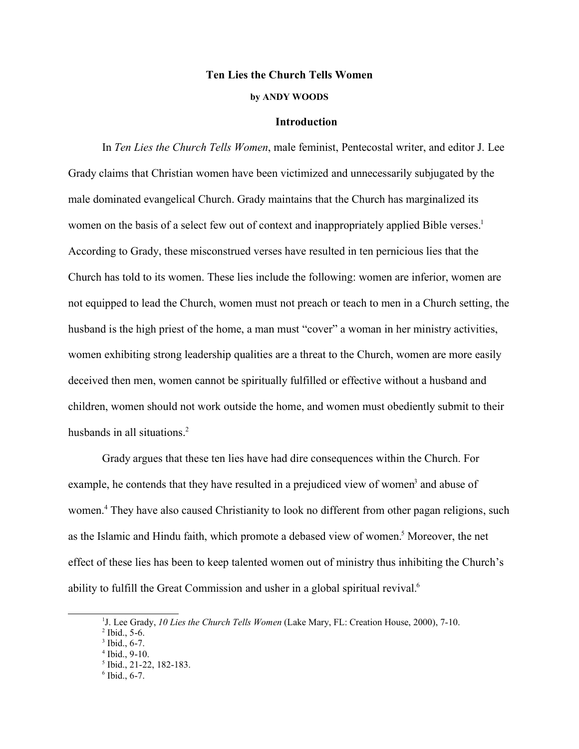## **Ten Lies the Church Tells Women**

# **by ANDY WOODS**

## **Introduction**

In *Ten Lies the Church Tells Women*, male feminist, Pentecostal writer, and editor J. Lee Grady claims that Christian women have been victimized and unnecessarily subjugated by the male dominated evangelical Church. Grady maintains that the Church has marginalized its women on the basis of a select few out of context and inappropriately applied Bible verses.<sup>1</sup> According to Grady, these misconstrued verses have resulted in ten pernicious lies that the Church has told to its women. These lies include the following: women are inferior, women are not equipped to lead the Church, women must not preach or teach to men in a Church setting, the husband is the high priest of the home, a man must "cover" a woman in her ministry activities, women exhibiting strong leadership qualities are a threat to the Church, women are more easily deceived then men, women cannot be spiritually fulfilled or effective without a husband and children, women should not work outside the home, and women must obediently submit to their husbands in all situations.<sup>2</sup>

Grady argues that these ten lies have had dire consequences within the Church. For example, he contends that they have resulted in a prejudiced view of women<sup>3</sup> and abuse of women.<sup>4</sup> They have also caused Christianity to look no different from other pagan religions, such as the Islamic and Hindu faith, which promote a debased view of women.<sup>5</sup> Moreover, the net effect of these lies has been to keep talented women out of ministry thus inhibiting the Church's ability to fulfill the Great Commission and usher in a global spiritual revival.<sup>6</sup>

<sup>&</sup>lt;sup>1</sup>J. Lee Grady, 10 Lies the Church Tells Women (Lake Mary, FL: Creation House, 2000), 7-10.

 $2$  Ibid., 5-6.

 $3$  Ibid., 6-7.

<sup>4</sup> Ibid., 9-10. 5 Ibid., 21-22, 182-183.

 $6$  Ibid., 6-7.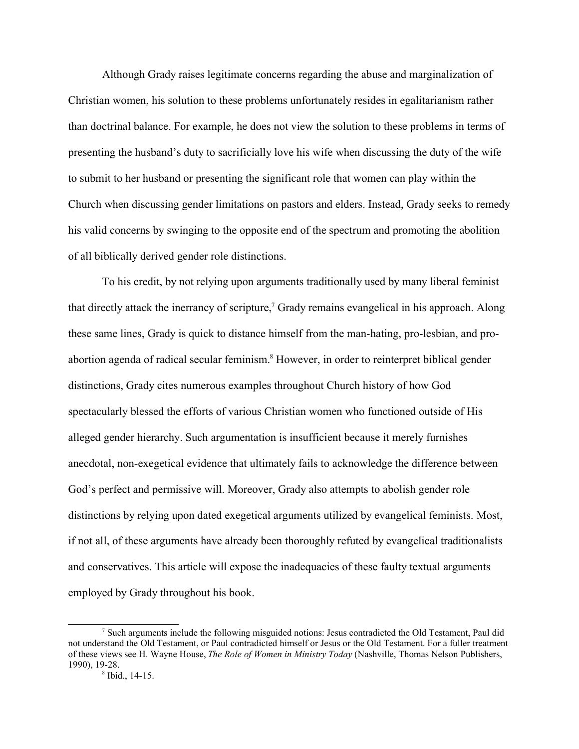Although Grady raises legitimate concerns regarding the abuse and marginalization of Christian women, his solution to these problems unfortunately resides in egalitarianism rather than doctrinal balance. For example, he does not view the solution to these problems in terms of presenting the husband's duty to sacrificially love his wife when discussing the duty of the wife to submit to her husband or presenting the significant role that women can play within the Church when discussing gender limitations on pastors and elders. Instead, Grady seeks to remedy his valid concerns by swinging to the opposite end of the spectrum and promoting the abolition of all biblically derived gender role distinctions.

To his credit, by not relying upon arguments traditionally used by many liberal feminist that directly attack the inerrancy of scripture,<sup>7</sup> Grady remains evangelical in his approach. Along these same lines, Grady is quick to distance himself from the man-hating, pro-lesbian, and proabortion agenda of radical secular feminism.<sup>8</sup> However, in order to reinterpret biblical gender distinctions, Grady cites numerous examples throughout Church history of how God spectacularly blessed the efforts of various Christian women who functioned outside of His alleged gender hierarchy. Such argumentation is insufficient because it merely furnishes anecdotal, non-exegetical evidence that ultimately fails to acknowledge the difference between God's perfect and permissive will. Moreover, Grady also attempts to abolish gender role distinctions by relying upon dated exegetical arguments utilized by evangelical feminists. Most, if not all, of these arguments have already been thoroughly refuted by evangelical traditionalists and conservatives. This article will expose the inadequacies of these faulty textual arguments employed by Grady throughout his book.

<sup>&</sup>lt;sup>7</sup> Such arguments include the following misguided notions: Jesus contradicted the Old Testament, Paul did not understand the Old Testament, or Paul contradicted himself or Jesus or the Old Testament. For a fuller treatment of these views see H. Wayne House, *The Role of Women in Ministry Today* (Nashville, Thomas Nelson Publishers, 1990), 19-28.

 $8$  Ibid., 14-15.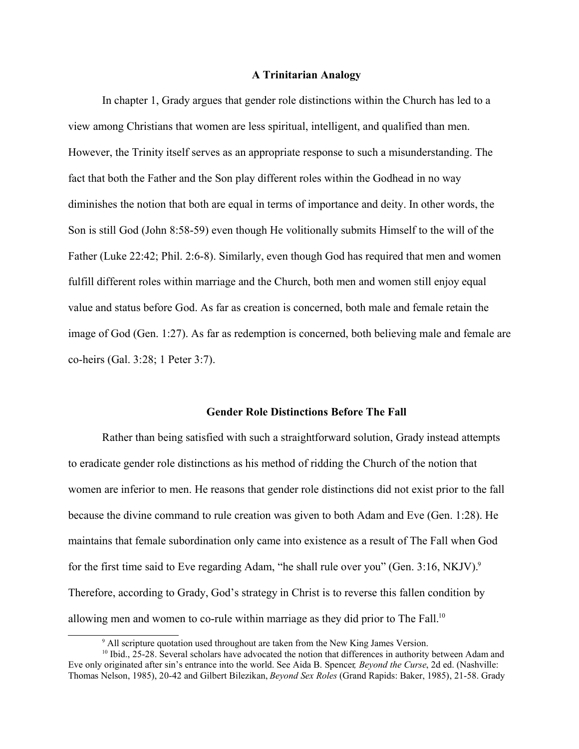## **A Trinitarian Analogy**

In chapter 1, Grady argues that gender role distinctions within the Church has led to a view among Christians that women are less spiritual, intelligent, and qualified than men. However, the Trinity itself serves as an appropriate response to such a misunderstanding. The fact that both the Father and the Son play different roles within the Godhead in no way diminishes the notion that both are equal in terms of importance and deity. In other words, the Son is still God (John 8:58-59) even though He volitionally submits Himself to the will of the Father (Luke 22:42; Phil. 2:6-8). Similarly, even though God has required that men and women fulfill different roles within marriage and the Church, both men and women still enjoy equal value and status before God. As far as creation is concerned, both male and female retain the image of God (Gen. 1:27). As far as redemption is concerned, both believing male and female are co-heirs (Gal. 3:28; 1 Peter 3:7).

## **Gender Role Distinctions Before The Fall**

Rather than being satisfied with such a straightforward solution, Grady instead attempts to eradicate gender role distinctions as his method of ridding the Church of the notion that women are inferior to men. He reasons that gender role distinctions did not exist prior to the fall because the divine command to rule creation was given to both Adam and Eve (Gen. 1:28). He maintains that female subordination only came into existence as a result of The Fall when God for the first time said to Eve regarding Adam, "he shall rule over you" (Gen.  $3:16$ , NKJV).<sup>9</sup> Therefore, according to Grady, God's strategy in Christ is to reverse this fallen condition by allowing men and women to co-rule within marriage as they did prior to The Fall.<sup>10</sup>

<sup>&</sup>lt;sup>9</sup> All scripture quotation used throughout are taken from the New King James Version.

<sup>&</sup>lt;sup>10</sup> Ibid., 25-28. Several scholars have advocated the notion that differences in authority between Adam and Eve only originated after sin's entrance into the world. See Aida B. Spencer*, Beyond the Curse*, 2d ed. (Nashville: Thomas Nelson, 1985), 20-42 and Gilbert Bilezikan, *Beyond Sex Roles* (Grand Rapids: Baker, 1985), 21-58. Grady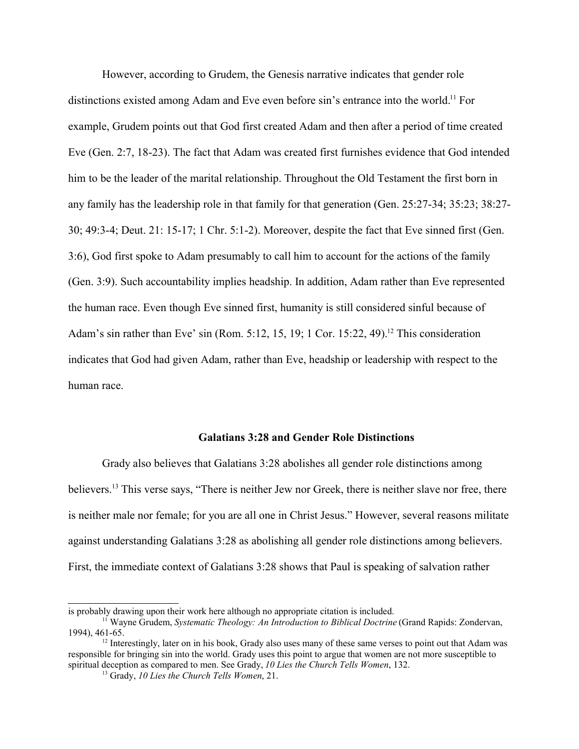However, according to Grudem, the Genesis narrative indicates that gender role distinctions existed among Adam and Eve even before sin's entrance into the world.<sup>11</sup> For example, Grudem points out that God first created Adam and then after a period of time created Eve (Gen. 2:7, 18-23). The fact that Adam was created first furnishes evidence that God intended him to be the leader of the marital relationship. Throughout the Old Testament the first born in any family has the leadership role in that family for that generation (Gen. 25:27-34; 35:23; 38:27- 30; 49:3-4; Deut. 21: 15-17; 1 Chr. 5:1-2). Moreover, despite the fact that Eve sinned first (Gen. 3:6), God first spoke to Adam presumably to call him to account for the actions of the family (Gen. 3:9). Such accountability implies headship. In addition, Adam rather than Eve represented the human race. Even though Eve sinned first, humanity is still considered sinful because of Adam's sin rather than Eve' sin (Rom. 5:12, 15, 19; 1 Cor. 15:22, 49).<sup>12</sup> This consideration indicates that God had given Adam, rather than Eve, headship or leadership with respect to the human race.

#### **Galatians 3:28 and Gender Role Distinctions**

Grady also believes that Galatians 3:28 abolishes all gender role distinctions among believers.<sup>13</sup> This verse says, "There is neither Jew nor Greek, there is neither slave nor free, there is neither male nor female; for you are all one in Christ Jesus." However, several reasons militate against understanding Galatians 3:28 as abolishing all gender role distinctions among believers. First, the immediate context of Galatians 3:28 shows that Paul is speaking of salvation rather

is probably drawing upon their work here although no appropriate citation is included.

<sup>11</sup> Wayne Grudem, *Systematic Theology: An Introduction to Biblical Doctrine* (Grand Rapids: Zondervan, 1994), 461-65.

<sup>&</sup>lt;sup>12</sup> Interestingly, later on in his book, Grady also uses many of these same verses to point out that Adam was responsible for bringing sin into the world. Grady uses this point to argue that women are not more susceptible to spiritual deception as compared to men. See Grady, *10 Lies the Church Tells Women*, 132.

<sup>13</sup> Grady, *10 Lies the Church Tells Women*, 21.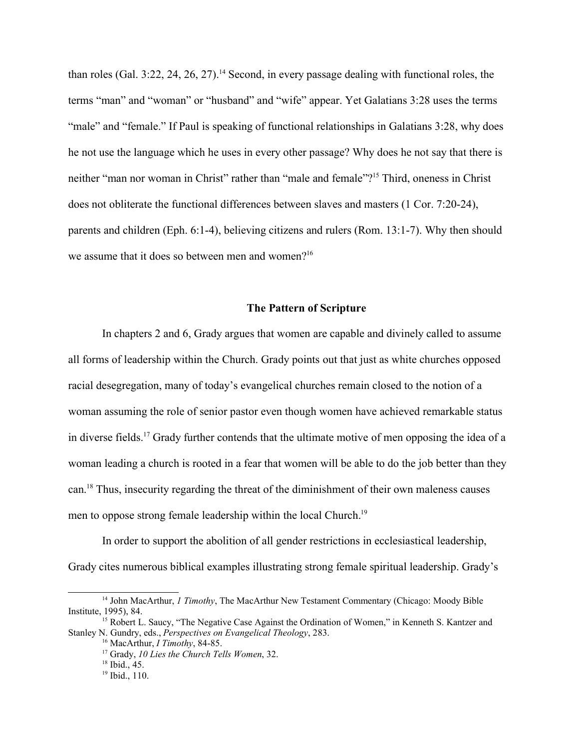than roles (Gal. 3:22, 24, 26, 27).<sup>14</sup> Second, in every passage dealing with functional roles, the terms "man" and "woman" or "husband" and "wife" appear. Yet Galatians 3:28 uses the terms "male" and "female." If Paul is speaking of functional relationships in Galatians 3:28, why does he not use the language which he uses in every other passage? Why does he not say that there is neither "man nor woman in Christ" rather than "male and female"?<sup>15</sup> Third, oneness in Christ does not obliterate the functional differences between slaves and masters (1 Cor. 7:20-24), parents and children (Eph. 6:1-4), believing citizens and rulers (Rom. 13:1-7). Why then should we assume that it does so between men and women?<sup>16</sup>

# **The Pattern of Scripture**

In chapters 2 and 6, Grady argues that women are capable and divinely called to assume all forms of leadership within the Church. Grady points out that just as white churches opposed racial desegregation, many of today's evangelical churches remain closed to the notion of a woman assuming the role of senior pastor even though women have achieved remarkable status in diverse fields.<sup>17</sup> Grady further contends that the ultimate motive of men opposing the idea of a woman leading a church is rooted in a fear that women will be able to do the job better than they can.<sup>18</sup> Thus, insecurity regarding the threat of the diminishment of their own maleness causes men to oppose strong female leadership within the local Church.<sup>19</sup>

In order to support the abolition of all gender restrictions in ecclesiastical leadership, Grady cites numerous biblical examples illustrating strong female spiritual leadership. Grady's

<sup>14</sup> John MacArthur, *1 Timothy*, The MacArthur New Testament Commentary (Chicago: Moody Bible Institute, 1995), 84.

<sup>&</sup>lt;sup>15</sup> Robert L. Saucy, "The Negative Case Against the Ordination of Women," in Kenneth S. Kantzer and Stanley N. Gundry, eds., *Perspectives on Evangelical Theology*, 283.

<sup>16</sup> MacArthur, *I Timothy*, 84-85.

<sup>17</sup> Grady, *10 Lies the Church Tells Women*, 32.

<sup>18</sup> Ibid., 45.

<sup>&</sup>lt;sup>19</sup> Ibid., 110.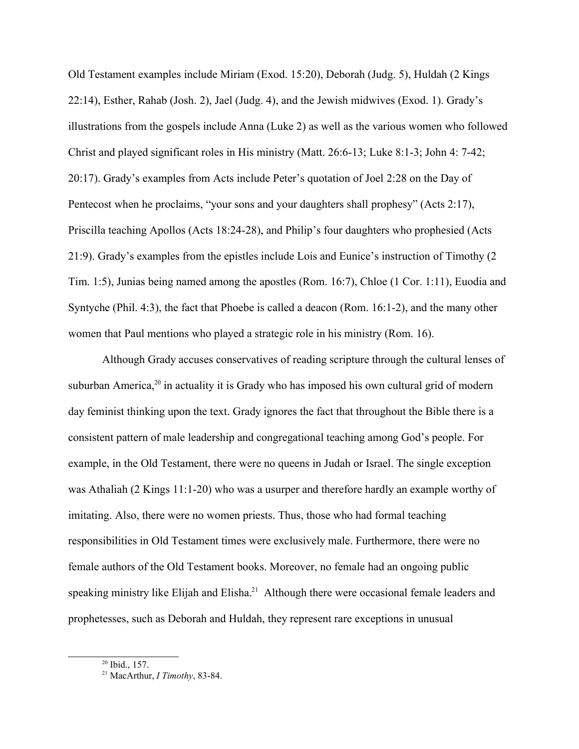Old Testament examples include Miriam (Exod. 15:20), Deborah (Judg. 5), Huldah (2 Kings 22:14), Esther, Rahab (Josh. 2), Jael (Judg. 4), and the Jewish midwives (Exod. 1). Grady's illustrations from the gospels include Anna (Luke 2) as well as the various women who followed Christ and played significant roles in His ministry (Matt. 26:6-13; Luke 8:1-3; John 4: 7-42; 20:17). Grady's examples from Acts include Peter's quotation of Joel 2:28 on the Day of Pentecost when he proclaims, "your sons and your daughters shall prophesy" (Acts 2:17), Priscilla teaching Apollos (Acts 18:24-28), and Philip's four daughters who prophesied (Acts 21:9). Grady's examples from the epistles include Lois and Eunice's instruction of Timothy (2 Tim. 1:5), Junias being named among the apostles (Rom. 16:7), Chloe (1 Cor. 1:11), Euodia and Syntyche (Phil. 4:3), the fact that Phoebe is called a deacon (Rom. 16:1-2), and the many other women that Paul mentions who played a strategic role in his ministry (Rom. 16).

Although Grady accuses conservatives of reading scripture through the cultural lenses of suburban America, $20$  in actuality it is Grady who has imposed his own cultural grid of modern day feminist thinking upon the text. Grady ignores the fact that throughout the Bible there is a consistent pattern of male leadership and congregational teaching among God's people. For example, in the Old Testament, there were no queens in Judah or Israel. The single exception was Athaliah (2 Kings 11:1-20) who was a usurper and therefore hardly an example worthy of imitating. Also, there were no women priests. Thus, those who had formal teaching responsibilities in Old Testament times were exclusively male. Furthermore, there were no female authors of the Old Testament books. Moreover, no female had an ongoing public speaking ministry like Elijah and Elisha.<sup>21</sup> Although there were occasional female leaders and prophetesses, such as Deborah and Huldah, they represent rare exceptions in unusual

<sup>20</sup> Ibid., 157.

<sup>21</sup> MacArthur, *I Timothy*, 83-84.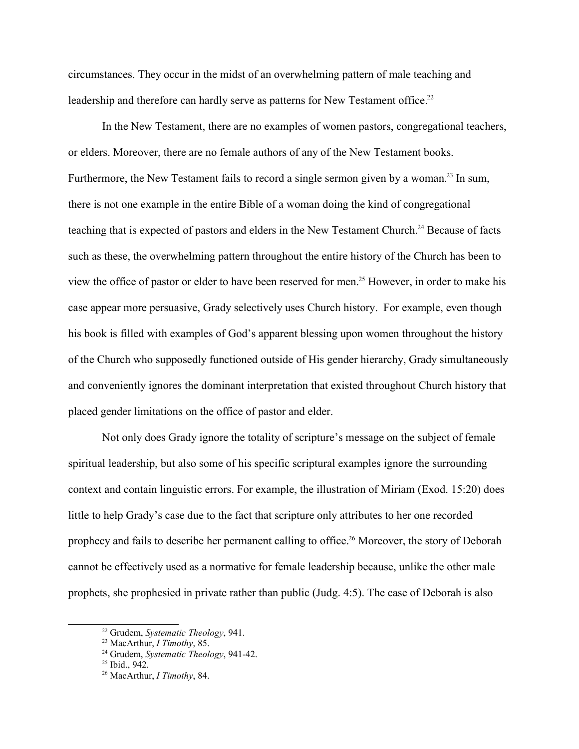circumstances. They occur in the midst of an overwhelming pattern of male teaching and leadership and therefore can hardly serve as patterns for New Testament office.<sup>22</sup>

In the New Testament, there are no examples of women pastors, congregational teachers, or elders. Moreover, there are no female authors of any of the New Testament books. Furthermore, the New Testament fails to record a single sermon given by a woman.<sup>23</sup> In sum, there is not one example in the entire Bible of a woman doing the kind of congregational teaching that is expected of pastors and elders in the New Testament Church.<sup>24</sup> Because of facts such as these, the overwhelming pattern throughout the entire history of the Church has been to view the office of pastor or elder to have been reserved for men.<sup>25</sup> However, in order to make his case appear more persuasive, Grady selectively uses Church history. For example, even though his book is filled with examples of God's apparent blessing upon women throughout the history of the Church who supposedly functioned outside of His gender hierarchy, Grady simultaneously and conveniently ignores the dominant interpretation that existed throughout Church history that placed gender limitations on the office of pastor and elder.

Not only does Grady ignore the totality of scripture's message on the subject of female spiritual leadership, but also some of his specific scriptural examples ignore the surrounding context and contain linguistic errors. For example, the illustration of Miriam (Exod. 15:20) does little to help Grady's case due to the fact that scripture only attributes to her one recorded prophecy and fails to describe her permanent calling to office.<sup>26</sup> Moreover, the story of Deborah cannot be effectively used as a normative for female leadership because, unlike the other male prophets, she prophesied in private rather than public (Judg. 4:5). The case of Deborah is also

<sup>22</sup> Grudem, *Systematic Theology*, 941.

<sup>23</sup> MacArthur, *I Timothy*, 85.

<sup>24</sup> Grudem, *Systematic Theology*, 941-42.

 $25$  Ibid., 942.

<sup>26</sup> MacArthur, *I Timothy*, 84.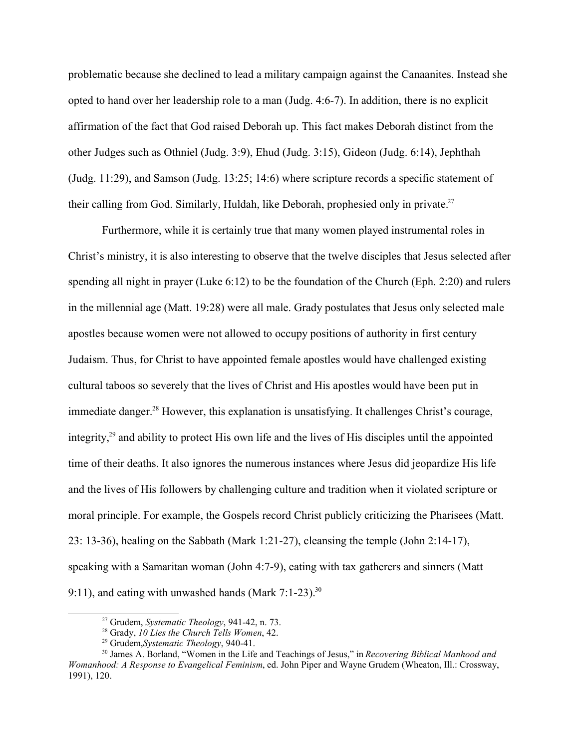problematic because she declined to lead a military campaign against the Canaanites. Instead she opted to hand over her leadership role to a man (Judg. 4:6-7). In addition, there is no explicit affirmation of the fact that God raised Deborah up. This fact makes Deborah distinct from the other Judges such as Othniel (Judg. 3:9), Ehud (Judg. 3:15), Gideon (Judg. 6:14), Jephthah (Judg. 11:29), and Samson (Judg. 13:25; 14:6) where scripture records a specific statement of their calling from God. Similarly, Huldah, like Deborah, prophesied only in private.<sup>27</sup>

Furthermore, while it is certainly true that many women played instrumental roles in Christ's ministry, it is also interesting to observe that the twelve disciples that Jesus selected after spending all night in prayer (Luke 6:12) to be the foundation of the Church (Eph. 2:20) and rulers in the millennial age (Matt. 19:28) were all male. Grady postulates that Jesus only selected male apostles because women were not allowed to occupy positions of authority in first century Judaism. Thus, for Christ to have appointed female apostles would have challenged existing cultural taboos so severely that the lives of Christ and His apostles would have been put in immediate danger.<sup>28</sup> However, this explanation is unsatisfying. It challenges Christ's courage, integrity,<sup>29</sup> and ability to protect His own life and the lives of His disciples until the appointed time of their deaths. It also ignores the numerous instances where Jesus did jeopardize His life and the lives of His followers by challenging culture and tradition when it violated scripture or moral principle. For example, the Gospels record Christ publicly criticizing the Pharisees (Matt. 23: 13-36), healing on the Sabbath (Mark 1:21-27), cleansing the temple (John 2:14-17), speaking with a Samaritan woman (John 4:7-9), eating with tax gatherers and sinners (Matt 9:11), and eating with unwashed hands (Mark  $7:1-23$ ).<sup>30</sup>

<sup>27</sup> Grudem, *Systematic Theology*, 941-42, n. 73.

<sup>28</sup> Grady, *10 Lies the Church Tells Women*, 42.

<sup>29</sup> Grudem,*Systematic Theology*, 940-41.

<sup>30</sup> James A. Borland, "Women in the Life and Teachings of Jesus," in *Recovering Biblical Manhood and Womanhood: A Response to Evangelical Feminism*, ed. John Piper and Wayne Grudem (Wheaton, Ill.: Crossway, 1991), 120.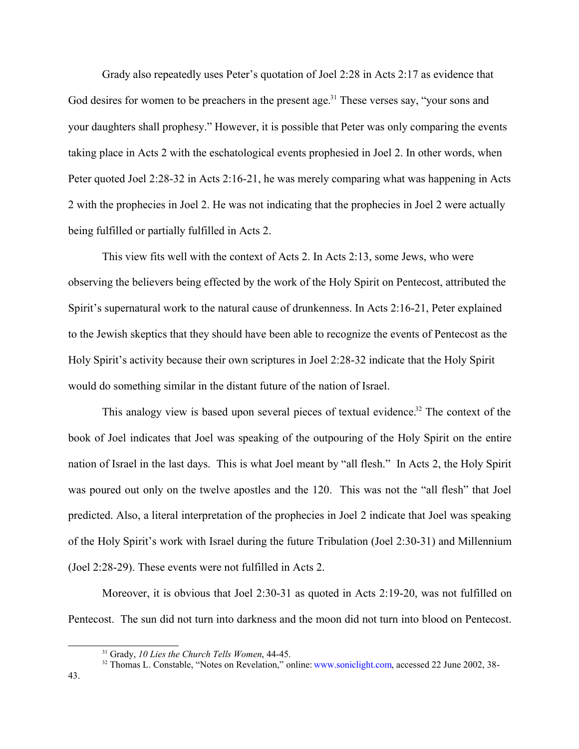Grady also repeatedly uses Peter's quotation of Joel 2:28 in Acts 2:17 as evidence that God desires for women to be preachers in the present age.<sup>31</sup> These verses say, "your sons and your daughters shall prophesy." However, it is possible that Peter was only comparing the events taking place in Acts 2 with the eschatological events prophesied in Joel 2. In other words, when Peter quoted Joel 2:28-32 in Acts 2:16-21, he was merely comparing what was happening in Acts 2 with the prophecies in Joel 2. He was not indicating that the prophecies in Joel 2 were actually being fulfilled or partially fulfilled in Acts 2.

This view fits well with the context of Acts 2. In Acts 2:13, some Jews, who were observing the believers being effected by the work of the Holy Spirit on Pentecost, attributed the Spirit's supernatural work to the natural cause of drunkenness. In Acts 2:16-21, Peter explained to the Jewish skeptics that they should have been able to recognize the events of Pentecost as the Holy Spirit's activity because their own scriptures in Joel 2:28-32 indicate that the Holy Spirit would do something similar in the distant future of the nation of Israel.

This analogy view is based upon several pieces of textual evidence.<sup>32</sup> The context of the book of Joel indicates that Joel was speaking of the outpouring of the Holy Spirit on the entire nation of Israel in the last days. This is what Joel meant by "all flesh." In Acts 2, the Holy Spirit was poured out only on the twelve apostles and the 120. This was not the "all flesh" that Joel predicted. Also, a literal interpretation of the prophecies in Joel 2 indicate that Joel was speaking of the Holy Spirit's work with Israel during the future Tribulation (Joel 2:30-31) and Millennium (Joel 2:28-29). These events were not fulfilled in Acts 2.

Moreover, it is obvious that Joel 2:30-31 as quoted in Acts 2:19-20, was not fulfilled on Pentecost. The sun did not turn into darkness and the moon did not turn into blood on Pentecost.

<sup>31</sup> Grady, *10 Lies the Church Tells Women*, 44-45.

<sup>&</sup>lt;sup>32</sup> Thomas L. Constable, "Notes on Revelation," online: www.soniclight.com, accessed 22 June 2002, 38-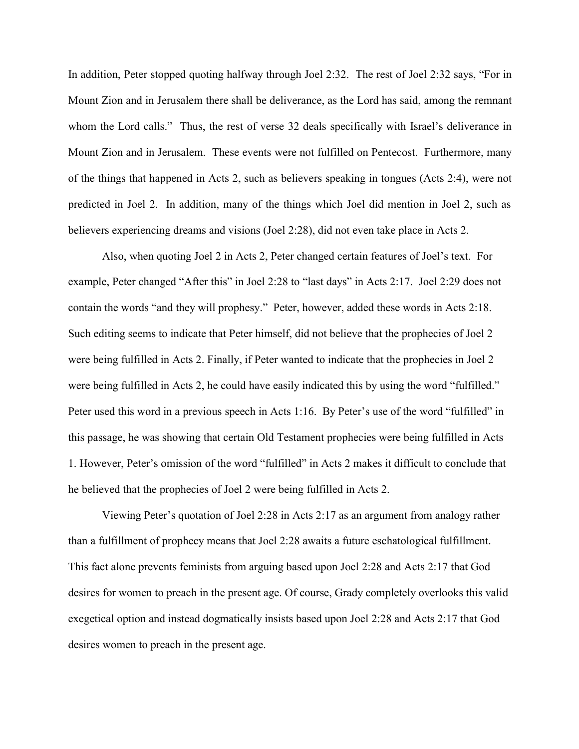In addition, Peter stopped quoting halfway through Joel 2:32. The rest of Joel 2:32 says, "For in Mount Zion and in Jerusalem there shall be deliverance, as the Lord has said, among the remnant whom the Lord calls." Thus, the rest of verse 32 deals specifically with Israel's deliverance in Mount Zion and in Jerusalem. These events were not fulfilled on Pentecost. Furthermore, many of the things that happened in Acts 2, such as believers speaking in tongues (Acts 2:4), were not predicted in Joel 2. In addition, many of the things which Joel did mention in Joel 2, such as believers experiencing dreams and visions (Joel 2:28), did not even take place in Acts 2.

Also, when quoting Joel 2 in Acts 2, Peter changed certain features of Joel's text. For example, Peter changed "After this" in Joel 2:28 to "last days" in Acts 2:17. Joel 2:29 does not contain the words "and they will prophesy." Peter, however, added these words in Acts 2:18. Such editing seems to indicate that Peter himself, did not believe that the prophecies of Joel 2 were being fulfilled in Acts 2. Finally, if Peter wanted to indicate that the prophecies in Joel 2 were being fulfilled in Acts 2, he could have easily indicated this by using the word "fulfilled." Peter used this word in a previous speech in Acts 1:16. By Peter's use of the word "fulfilled" in this passage, he was showing that certain Old Testament prophecies were being fulfilled in Acts 1. However, Peter's omission of the word "fulfilled" in Acts 2 makes it difficult to conclude that he believed that the prophecies of Joel 2 were being fulfilled in Acts 2.

Viewing Peter's quotation of Joel 2:28 in Acts 2:17 as an argument from analogy rather than a fulfillment of prophecy means that Joel 2:28 awaits a future eschatological fulfillment. This fact alone prevents feminists from arguing based upon Joel 2:28 and Acts 2:17 that God desires for women to preach in the present age. Of course, Grady completely overlooks this valid exegetical option and instead dogmatically insists based upon Joel 2:28 and Acts 2:17 that God desires women to preach in the present age.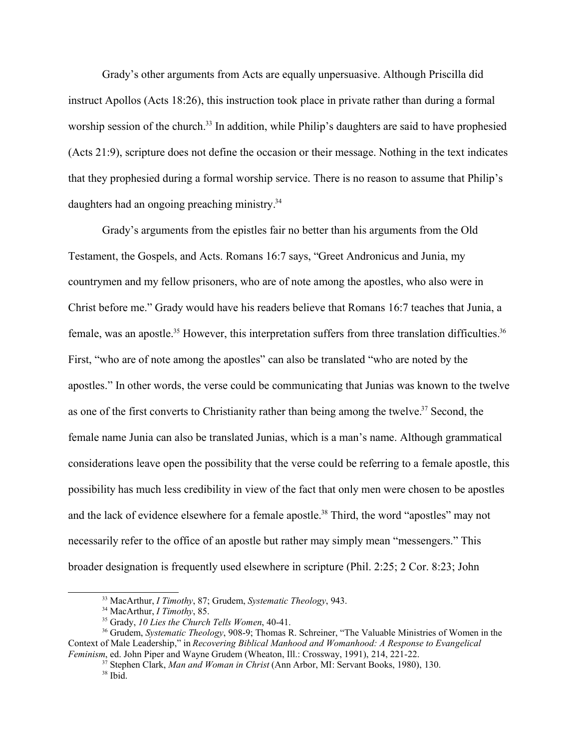Grady's other arguments from Acts are equally unpersuasive. Although Priscilla did instruct Apollos (Acts 18:26), this instruction took place in private rather than during a formal worship session of the church.<sup>33</sup> In addition, while Philip's daughters are said to have prophesied (Acts 21:9), scripture does not define the occasion or their message. Nothing in the text indicates that they prophesied during a formal worship service. There is no reason to assume that Philip's daughters had an ongoing preaching ministry.<sup>34</sup>

Grady's arguments from the epistles fair no better than his arguments from the Old Testament, the Gospels, and Acts. Romans 16:7 says, "Greet Andronicus and Junia, my countrymen and my fellow prisoners, who are of note among the apostles, who also were in Christ before me." Grady would have his readers believe that Romans 16:7 teaches that Junia, a female, was an apostle.<sup>35</sup> However, this interpretation suffers from three translation difficulties.<sup>36</sup> First, "who are of note among the apostles" can also be translated "who are noted by the apostles." In other words, the verse could be communicating that Junias was known to the twelve as one of the first converts to Christianity rather than being among the twelve.<sup>37</sup> Second, the female name Junia can also be translated Junias, which is a man's name. Although grammatical considerations leave open the possibility that the verse could be referring to a female apostle, this possibility has much less credibility in view of the fact that only men were chosen to be apostles and the lack of evidence elsewhere for a female apostle.<sup>38</sup> Third, the word "apostles" may not necessarily refer to the office of an apostle but rather may simply mean "messengers." This broader designation is frequently used elsewhere in scripture (Phil. 2:25; 2 Cor. 8:23; John

<sup>33</sup> MacArthur, *I Timothy*, 87; Grudem, *Systematic Theology*, 943.

<sup>34</sup> MacArthur, *I Timothy*, 85.

<sup>35</sup> Grady, *10 Lies the Church Tells Women*, 40-41.

<sup>36</sup> Grudem, *Systematic Theology*, 908-9; Thomas R. Schreiner, "The Valuable Ministries of Women in the Context of Male Leadership," in *Recovering Biblical Manhood and Womanhood: A Response to Evangelical Feminism*, ed. John Piper and Wayne Grudem (Wheaton, Ill.: Crossway, 1991), 214, 221-22.

<sup>37</sup> Stephen Clark, *Man and Woman in Christ* (Ann Arbor, MI: Servant Books, 1980), 130.

 $38$  Ibid.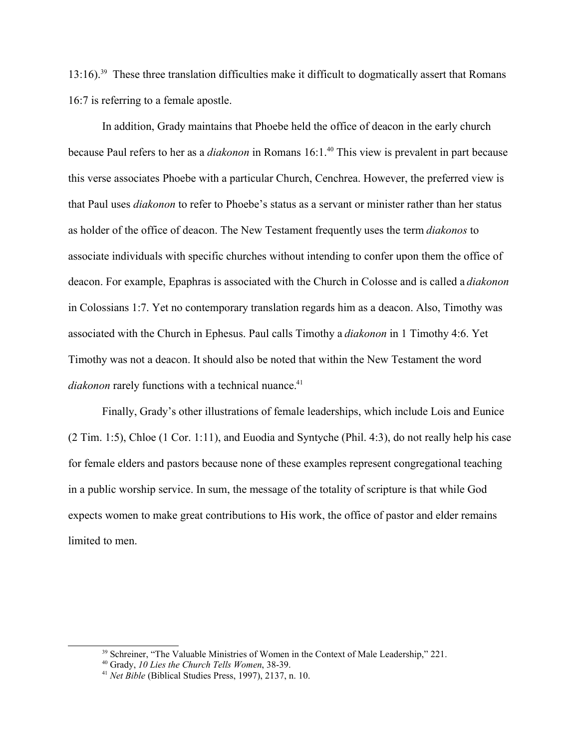$13:16$ .<sup>39</sup> These three translation difficulties make it difficult to dogmatically assert that Romans 16:7 is referring to a female apostle.

In addition, Grady maintains that Phoebe held the office of deacon in the early church because Paul refers to her as a *diakonon* in Romans 16:1.<sup>40</sup> This view is prevalent in part because this verse associates Phoebe with a particular Church, Cenchrea. However, the preferred view is that Paul uses *diakonon* to refer to Phoebe's status as a servant or minister rather than her status as holder of the office of deacon. The New Testament frequently uses the term *diakonos* to associate individuals with specific churches without intending to confer upon them the office of deacon. For example, Epaphras is associated with the Church in Colosse and is called a *diakonon* in Colossians 1:7. Yet no contemporary translation regards him as a deacon. Also, Timothy was associated with the Church in Ephesus. Paul calls Timothy a *diakonon* in 1 Timothy 4:6. Yet Timothy was not a deacon. It should also be noted that within the New Testament the word *diakonon* rarely functions with a technical nuance.<sup>41</sup>

Finally, Grady's other illustrations of female leaderships, which include Lois and Eunice (2 Tim. 1:5), Chloe (1 Cor. 1:11), and Euodia and Syntyche (Phil. 4:3), do not really help his case for female elders and pastors because none of these examples represent congregational teaching in a public worship service. In sum, the message of the totality of scripture is that while God expects women to make great contributions to His work, the office of pastor and elder remains limited to men.

<sup>&</sup>lt;sup>39</sup> Schreiner, "The Valuable Ministries of Women in the Context of Male Leadership," 221.

<sup>40</sup> Grady, *10 Lies the Church Tells Women*, 38-39.

<sup>41</sup> *Net Bible* (Biblical Studies Press, 1997), 2137, n. 10.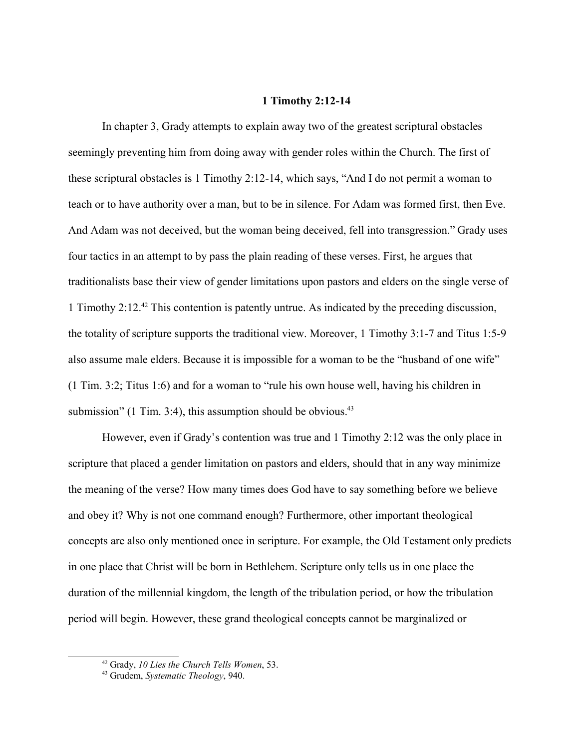#### **1 Timothy 2:12-14**

In chapter 3, Grady attempts to explain away two of the greatest scriptural obstacles seemingly preventing him from doing away with gender roles within the Church. The first of these scriptural obstacles is 1 Timothy 2:12-14, which says, "And I do not permit a woman to teach or to have authority over a man, but to be in silence. For Adam was formed first, then Eve. And Adam was not deceived, but the woman being deceived, fell into transgression." Grady uses four tactics in an attempt to by pass the plain reading of these verses. First, he argues that traditionalists base their view of gender limitations upon pastors and elders on the single verse of 1 Timothy 2:12.<sup>42</sup> This contention is patently untrue. As indicated by the preceding discussion, the totality of scripture supports the traditional view. Moreover, 1 Timothy 3:1-7 and Titus 1:5-9 also assume male elders. Because it is impossible for a woman to be the "husband of one wife" (1 Tim. 3:2; Titus 1:6) and for a woman to "rule his own house well, having his children in submission" (1 Tim. 3:4), this assumption should be obvious. $43$ 

However, even if Grady's contention was true and 1 Timothy 2:12 was the only place in scripture that placed a gender limitation on pastors and elders, should that in any way minimize the meaning of the verse? How many times does God have to say something before we believe and obey it? Why is not one command enough? Furthermore, other important theological concepts are also only mentioned once in scripture. For example, the Old Testament only predicts in one place that Christ will be born in Bethlehem. Scripture only tells us in one place the duration of the millennial kingdom, the length of the tribulation period, or how the tribulation period will begin. However, these grand theological concepts cannot be marginalized or

<sup>42</sup> Grady, *10 Lies the Church Tells Women*, 53.

<sup>43</sup> Grudem, *Systematic Theology*, 940.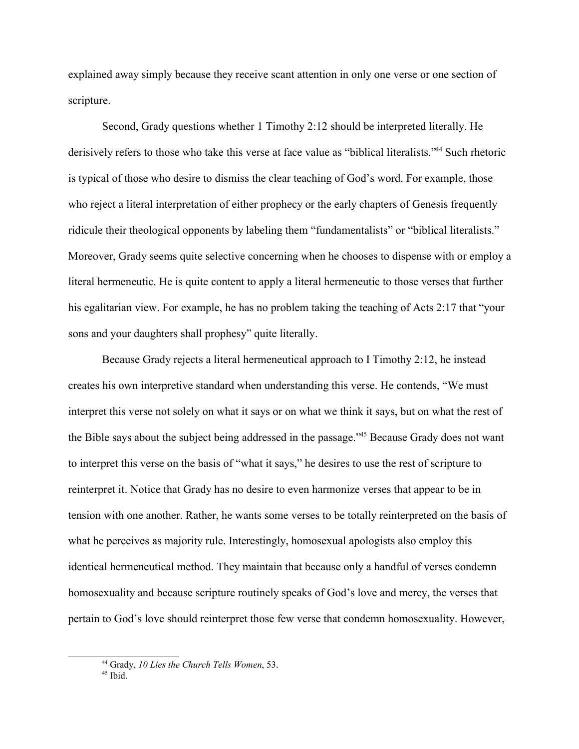explained away simply because they receive scant attention in only one verse or one section of scripture.

Second, Grady questions whether 1 Timothy 2:12 should be interpreted literally. He derisively refers to those who take this verse at face value as "biblical literalists."<sup>44</sup> Such rhetoric is typical of those who desire to dismiss the clear teaching of God's word. For example, those who reject a literal interpretation of either prophecy or the early chapters of Genesis frequently ridicule their theological opponents by labeling them "fundamentalists" or "biblical literalists." Moreover, Grady seems quite selective concerning when he chooses to dispense with or employ a literal hermeneutic. He is quite content to apply a literal hermeneutic to those verses that further his egalitarian view. For example, he has no problem taking the teaching of Acts 2:17 that "your sons and your daughters shall prophesy" quite literally.

Because Grady rejects a literal hermeneutical approach to I Timothy 2:12, he instead creates his own interpretive standard when understanding this verse. He contends, "We must interpret this verse not solely on what it says or on what we think it says, but on what the rest of the Bible says about the subject being addressed in the passage."<sup>45</sup> Because Grady does not want to interpret this verse on the basis of "what it says," he desires to use the rest of scripture to reinterpret it. Notice that Grady has no desire to even harmonize verses that appear to be in tension with one another. Rather, he wants some verses to be totally reinterpreted on the basis of what he perceives as majority rule. Interestingly, homosexual apologists also employ this identical hermeneutical method. They maintain that because only a handful of verses condemn homosexuality and because scripture routinely speaks of God's love and mercy, the verses that pertain to God's love should reinterpret those few verse that condemn homosexuality. However,

<sup>44</sup> Grady, *10 Lies the Church Tells Women*, 53.

 $45$  Ibid.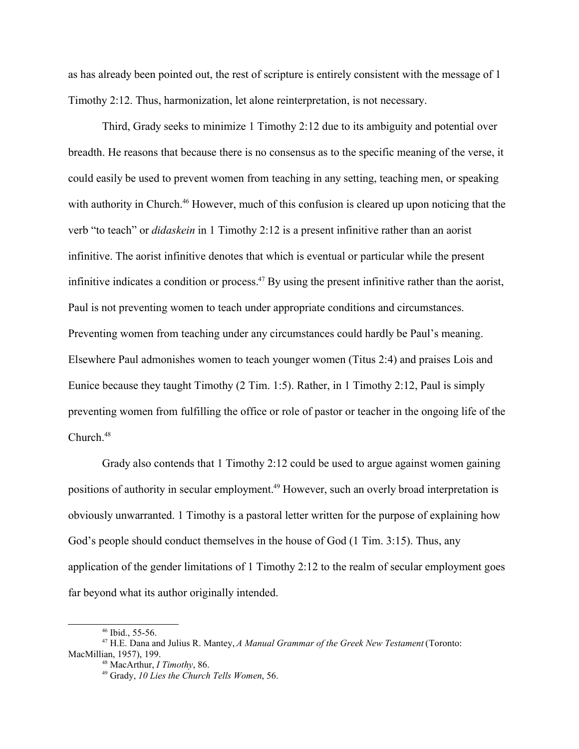as has already been pointed out, the rest of scripture is entirely consistent with the message of 1 Timothy 2:12. Thus, harmonization, let alone reinterpretation, is not necessary.

Third, Grady seeks to minimize 1 Timothy 2:12 due to its ambiguity and potential over breadth. He reasons that because there is no consensus as to the specific meaning of the verse, it could easily be used to prevent women from teaching in any setting, teaching men, or speaking with authority in Church.<sup>46</sup> However, much of this confusion is cleared up upon noticing that the verb "to teach" or *didaskein* in 1 Timothy 2:12 is a present infinitive rather than an aorist infinitive. The aorist infinitive denotes that which is eventual or particular while the present infinitive indicates a condition or process.<sup>47</sup> By using the present infinitive rather than the aorist, Paul is not preventing women to teach under appropriate conditions and circumstances. Preventing women from teaching under any circumstances could hardly be Paul's meaning. Elsewhere Paul admonishes women to teach younger women (Titus 2:4) and praises Lois and Eunice because they taught Timothy (2 Tim. 1:5). Rather, in 1 Timothy 2:12, Paul is simply preventing women from fulfilling the office or role of pastor or teacher in the ongoing life of the Church $48$ 

Grady also contends that 1 Timothy 2:12 could be used to argue against women gaining positions of authority in secular employment.<sup>49</sup> However, such an overly broad interpretation is obviously unwarranted. 1 Timothy is a pastoral letter written for the purpose of explaining how God's people should conduct themselves in the house of God (1 Tim. 3:15). Thus, any application of the gender limitations of 1 Timothy 2:12 to the realm of secular employment goes far beyond what its author originally intended.

<sup>46</sup> Ibid., 55-56.

<sup>47</sup> H.E. Dana and Julius R. Mantey, *A Manual Grammar of the Greek New Testament* (Toronto: MacMillian, 1957), 199.

<sup>48</sup> MacArthur, *I Timothy*, 86.

<sup>49</sup> Grady, *10 Lies the Church Tells Women*, 56.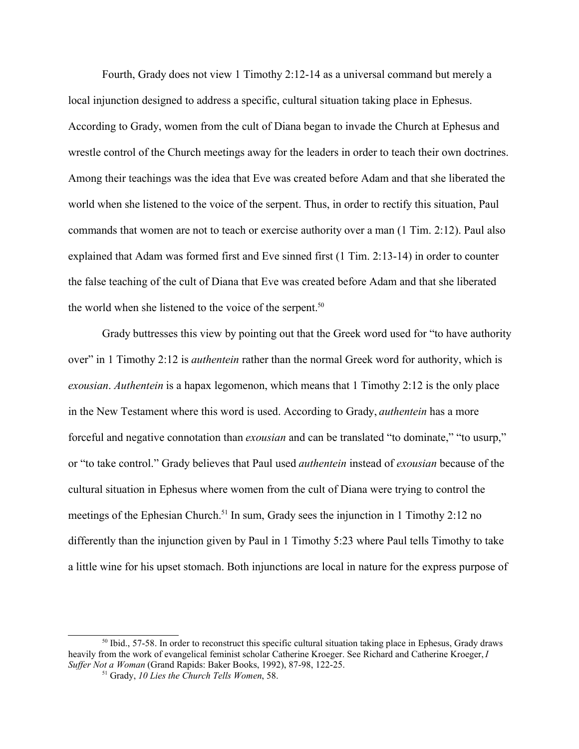Fourth, Grady does not view 1 Timothy 2:12-14 as a universal command but merely a local injunction designed to address a specific, cultural situation taking place in Ephesus. According to Grady, women from the cult of Diana began to invade the Church at Ephesus and wrestle control of the Church meetings away for the leaders in order to teach their own doctrines. Among their teachings was the idea that Eve was created before Adam and that she liberated the world when she listened to the voice of the serpent. Thus, in order to rectify this situation, Paul commands that women are not to teach or exercise authority over a man (1 Tim. 2:12). Paul also explained that Adam was formed first and Eve sinned first (1 Tim. 2:13-14) in order to counter the false teaching of the cult of Diana that Eve was created before Adam and that she liberated the world when she listened to the voice of the serpent.<sup>50</sup>

Grady buttresses this view by pointing out that the Greek word used for "to have authority over" in 1 Timothy 2:12 is *authentein* rather than the normal Greek word for authority, which is *exousian*. *Authentein* is a hapax legomenon, which means that 1 Timothy 2:12 is the only place in the New Testament where this word is used. According to Grady, *authentein* has a more forceful and negative connotation than *exousian* and can be translated "to dominate," "to usurp," or "to take control." Grady believes that Paul used *authentein* instead of *exousian* because of the cultural situation in Ephesus where women from the cult of Diana were trying to control the meetings of the Ephesian Church.<sup>51</sup> In sum, Grady sees the injunction in 1 Timothy 2:12 no differently than the injunction given by Paul in 1 Timothy 5:23 where Paul tells Timothy to take a little wine for his upset stomach. Both injunctions are local in nature for the express purpose of

<sup>50</sup> Ibid., 57-58. In order to reconstruct this specific cultural situation taking place in Ephesus, Grady draws heavily from the work of evangelical feminist scholar Catherine Kroeger. See Richard and Catherine Kroeger, *I Suffer Not a Woman* (Grand Rapids: Baker Books, 1992), 87-98, 122-25.

<sup>51</sup> Grady, *10 Lies the Church Tells Women*, 58.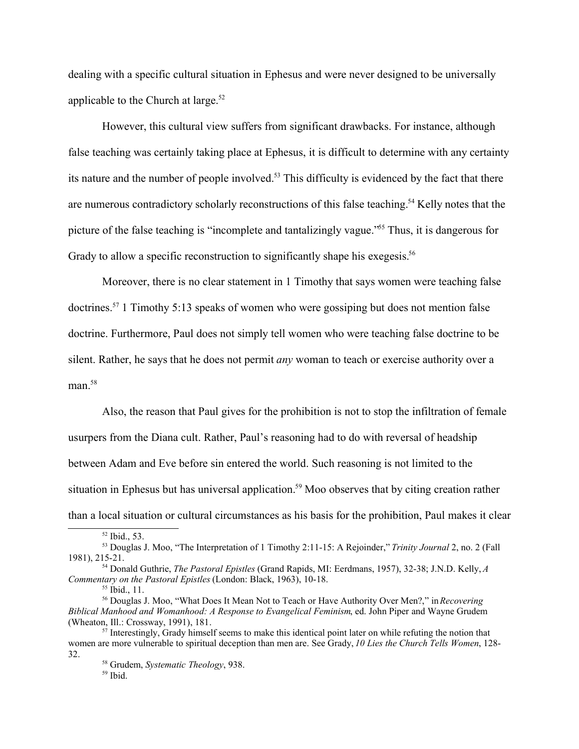dealing with a specific cultural situation in Ephesus and were never designed to be universally applicable to the Church at large.<sup>52</sup>

However, this cultural view suffers from significant drawbacks. For instance, although false teaching was certainly taking place at Ephesus, it is difficult to determine with any certainty its nature and the number of people involved.<sup>53</sup> This difficulty is evidenced by the fact that there are numerous contradictory scholarly reconstructions of this false teaching.<sup>54</sup> Kelly notes that the picture of the false teaching is "incomplete and tantalizingly vague."<sup>55</sup> Thus, it is dangerous for Grady to allow a specific reconstruction to significantly shape his exegesis.<sup>56</sup>

Moreover, there is no clear statement in 1 Timothy that says women were teaching false doctrines.<sup>57</sup> 1 Timothy 5:13 speaks of women who were gossiping but does not mention false doctrine. Furthermore, Paul does not simply tell women who were teaching false doctrine to be silent. Rather, he says that he does not permit *any* woman to teach or exercise authority over a  $man.<sup>58</sup>$ 

Also, the reason that Paul gives for the prohibition is not to stop the infiltration of female usurpers from the Diana cult. Rather, Paul's reasoning had to do with reversal of headship between Adam and Eve before sin entered the world. Such reasoning is not limited to the situation in Ephesus but has universal application.<sup>59</sup> Moo observes that by citing creation rather than a local situation or cultural circumstances as his basis for the prohibition, Paul makes it clear

<sup>52</sup> Ibid., 53.

<sup>53</sup> Douglas J. Moo, "The Interpretation of 1 Timothy 2:11-15: A Rejoinder," *Trinity Journal* 2, no. 2 (Fall 1981), 215-21.

<sup>54</sup> Donald Guthrie, *The Pastoral Epistles* (Grand Rapids, MI: Eerdmans, 1957), 32-38; J.N.D. Kelly, *A Commentary on the Pastoral Epistles* (London: Black, 1963), 10-18.

 $55$  Ibid., 11.

<sup>56</sup> Douglas J. Moo, "What Does It Mean Not to Teach or Have Authority Over Men?," in *Recovering Biblical Manhood and Womanhood: A Response to Evangelical Feminism*, ed. John Piper and Wayne Grudem (Wheaton, Ill.: Crossway, 1991), 181.

 $57$  Interestingly, Grady himself seems to make this identical point later on while refuting the notion that women are more vulnerable to spiritual deception than men are. See Grady, *10 Lies the Church Tells Women*, 128- 32.

<sup>58</sup> Grudem, *Systematic Theology*, 938.

 $59$  Ibid.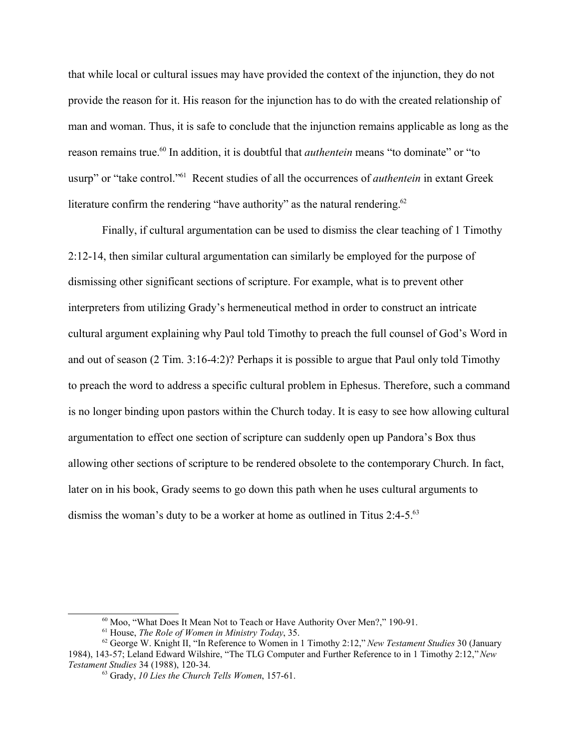that while local or cultural issues may have provided the context of the injunction, they do not provide the reason for it. His reason for the injunction has to do with the created relationship of man and woman. Thus, it is safe to conclude that the injunction remains applicable as long as the reason remains true.<sup>60</sup> In addition, it is doubtful that *authentein* means "to dominate" or "to usurp" or "take control."<sup>61</sup> Recent studies of all the occurrences of *authentein* in extant Greek literature confirm the rendering "have authority" as the natural rendering.<sup>62</sup>

Finally, if cultural argumentation can be used to dismiss the clear teaching of 1 Timothy 2:12-14, then similar cultural argumentation can similarly be employed for the purpose of dismissing other significant sections of scripture. For example, what is to prevent other interpreters from utilizing Grady's hermeneutical method in order to construct an intricate cultural argument explaining why Paul told Timothy to preach the full counsel of God's Word in and out of season (2 Tim. 3:16-4:2)? Perhaps it is possible to argue that Paul only told Timothy to preach the word to address a specific cultural problem in Ephesus. Therefore, such a command is no longer binding upon pastors within the Church today. It is easy to see how allowing cultural argumentation to effect one section of scripture can suddenly open up Pandora's Box thus allowing other sections of scripture to be rendered obsolete to the contemporary Church. In fact, later on in his book, Grady seems to go down this path when he uses cultural arguments to dismiss the woman's duty to be a worker at home as outlined in Titus 2:4-5.<sup>63</sup>

<sup>60</sup> Moo, "What Does It Mean Not to Teach or Have Authority Over Men?," 190-91.

<sup>61</sup> House, *The Role of Women in Ministry Today*, 35.

<sup>62</sup> George W. Knight II, "In Reference to Women in 1 Timothy 2:12," *New Testament Studies* 30 (January 1984), 143-57; Leland Edward Wilshire, "The TLG Computer and Further Reference to in 1 Timothy 2:12," *New Testament Studies* 34 (1988), 120-34.

<sup>63</sup> Grady, *10 Lies the Church Tells Women*, 157-61.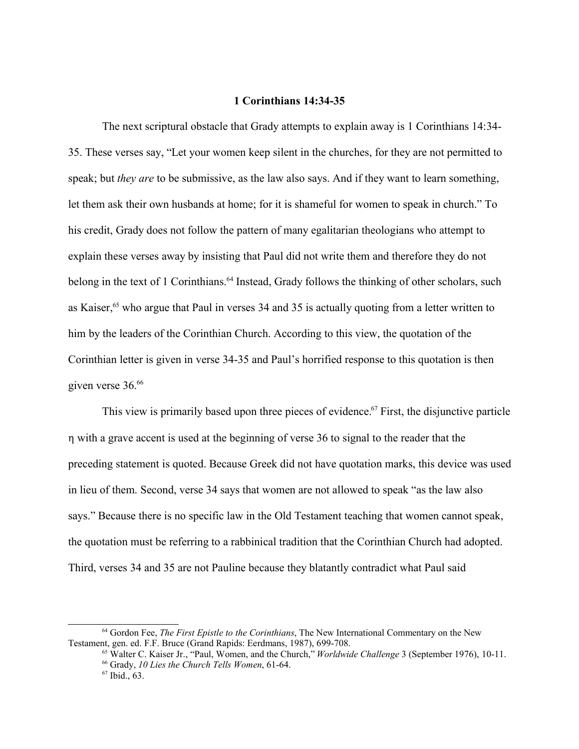### **1 Corinthians 14:34-35**

The next scriptural obstacle that Grady attempts to explain away is 1 Corinthians 14:34- 35. These verses say, "Let your women keep silent in the churches, for they are not permitted to speak; but *they are* to be submissive, as the law also says. And if they want to learn something, let them ask their own husbands at home; for it is shameful for women to speak in church." To his credit, Grady does not follow the pattern of many egalitarian theologians who attempt to explain these verses away by insisting that Paul did not write them and therefore they do not belong in the text of 1 Corinthians.<sup>64</sup> Instead, Grady follows the thinking of other scholars, such as Kaiser,<sup>65</sup> who argue that Paul in verses 34 and 35 is actually quoting from a letter written to him by the leaders of the Corinthian Church. According to this view, the quotation of the Corinthian letter is given in verse 34-35 and Paul's horrified response to this quotation is then given verse 36.<sup>66</sup>

This view is primarily based upon three pieces of evidence.<sup>67</sup> First, the disjunctive particle h with a grave accent is used at the beginning of verse 36 to signal to the reader that the preceding statement is quoted. Because Greek did not have quotation marks, this device was used in lieu of them. Second, verse 34 says that women are not allowed to speak "as the law also says." Because there is no specific law in the Old Testament teaching that women cannot speak, the quotation must be referring to a rabbinical tradition that the Corinthian Church had adopted. Third, verses 34 and 35 are not Pauline because they blatantly contradict what Paul said

<sup>64</sup> Gordon Fee, *The First Epistle to the Corinthians*, The New International Commentary on the New Testament, gen. ed. F.F. Bruce (Grand Rapids: Eerdmans, 1987), 699-708.

<sup>65</sup> Walter C. Kaiser Jr., "Paul, Women, and the Church," *Worldwide Challenge* 3 (September 1976), 10-11.

<sup>66</sup> Grady, *10 Lies the Church Tells Women*, 61-64.

<sup>67</sup> Ibid., 63.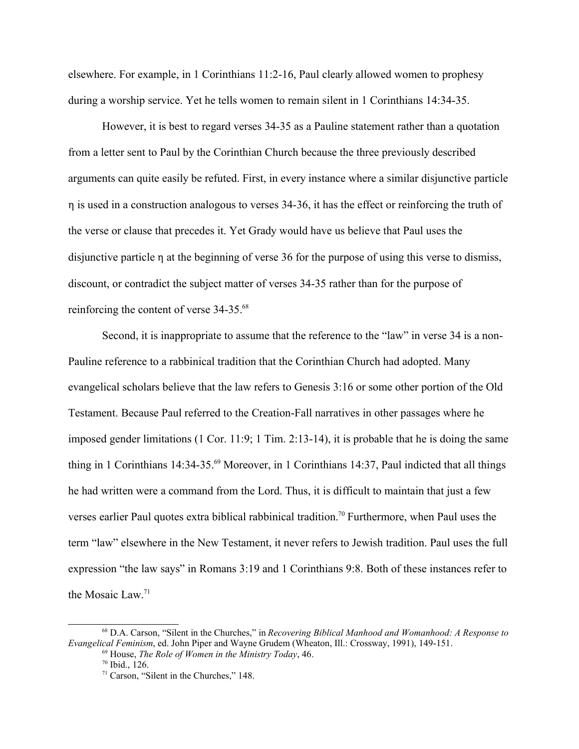elsewhere. For example, in 1 Corinthians 11:2-16, Paul clearly allowed women to prophesy during a worship service. Yet he tells women to remain silent in 1 Corinthians 14:34-35.

However, it is best to regard verses 34-35 as a Pauline statement rather than a quotation from a letter sent to Paul by the Corinthian Church because the three previously described arguments can quite easily be refuted. First, in every instance where a similar disjunctive particle h is used in a construction analogous to verses 34-36, it has the effect or reinforcing the truth of the verse or clause that precedes it. Yet Grady would have us believe that Paul uses the disjunctive particle  $\eta$  at the beginning of verse 36 for the purpose of using this verse to dismiss, discount, or contradict the subject matter of verses 34-35 rather than for the purpose of reinforcing the content of verse 34-35.<sup>68</sup>

Second, it is inappropriate to assume that the reference to the "law" in verse 34 is a non-Pauline reference to a rabbinical tradition that the Corinthian Church had adopted. Many evangelical scholars believe that the law refers to Genesis 3:16 or some other portion of the Old Testament. Because Paul referred to the Creation-Fall narratives in other passages where he imposed gender limitations (1 Cor. 11:9; 1 Tim. 2:13-14), it is probable that he is doing the same thing in 1 Corinthians 14:34-35.<sup>69</sup> Moreover, in 1 Corinthians 14:37, Paul indicted that all things he had written were a command from the Lord. Thus, it is difficult to maintain that just a few verses earlier Paul quotes extra biblical rabbinical tradition.<sup>70</sup> Furthermore, when Paul uses the term "law" elsewhere in the New Testament, it never refers to Jewish tradition. Paul uses the full expression "the law says" in Romans 3:19 and 1 Corinthians 9:8. Both of these instances refer to the Mosaic Law.<sup>71</sup>

<sup>68</sup> D.A. Carson, "Silent in the Churches," in *Recovering Biblical Manhood and Womanhood: A Response to Evangelical Feminism*, ed. John Piper and Wayne Grudem (Wheaton, Ill.: Crossway, 1991), 149-151.

<sup>69</sup> House, *The Role of Women in the Ministry Today*, 46.

<sup>70</sup> Ibid., 126.

<sup>71</sup> Carson, "Silent in the Churches," 148.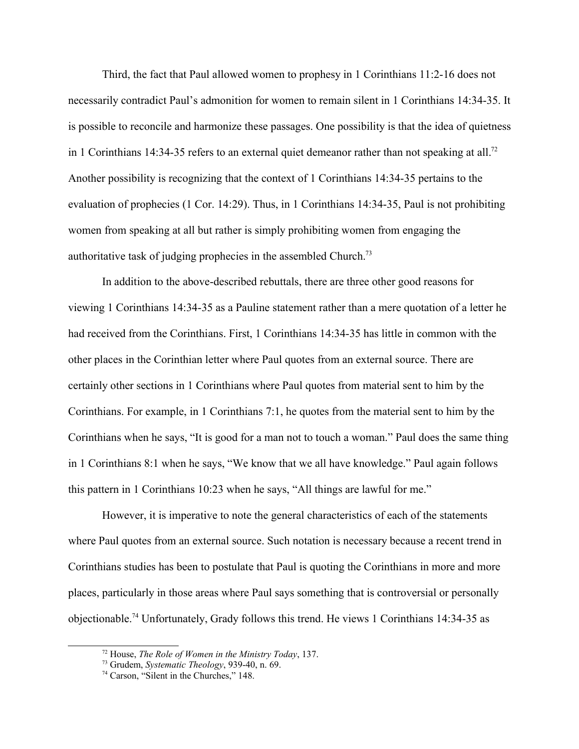Third, the fact that Paul allowed women to prophesy in 1 Corinthians 11:2-16 does not necessarily contradict Paul's admonition for women to remain silent in 1 Corinthians 14:34-35. It is possible to reconcile and harmonize these passages. One possibility is that the idea of quietness in 1 Corinthians 14:34-35 refers to an external quiet demeanor rather than not speaking at all.<sup>72</sup> Another possibility is recognizing that the context of 1 Corinthians 14:34-35 pertains to the evaluation of prophecies (1 Cor. 14:29). Thus, in 1 Corinthians 14:34-35, Paul is not prohibiting women from speaking at all but rather is simply prohibiting women from engaging the authoritative task of judging prophecies in the assembled Church.<sup>73</sup>

In addition to the above-described rebuttals, there are three other good reasons for viewing 1 Corinthians 14:34-35 as a Pauline statement rather than a mere quotation of a letter he had received from the Corinthians. First, 1 Corinthians 14:34-35 has little in common with the other places in the Corinthian letter where Paul quotes from an external source. There are certainly other sections in 1 Corinthians where Paul quotes from material sent to him by the Corinthians. For example, in 1 Corinthians 7:1, he quotes from the material sent to him by the Corinthians when he says, "It is good for a man not to touch a woman." Paul does the same thing in 1 Corinthians 8:1 when he says, "We know that we all have knowledge." Paul again follows this pattern in 1 Corinthians 10:23 when he says, "All things are lawful for me."

However, it is imperative to note the general characteristics of each of the statements where Paul quotes from an external source. Such notation is necessary because a recent trend in Corinthians studies has been to postulate that Paul is quoting the Corinthians in more and more places, particularly in those areas where Paul says something that is controversial or personally objectionable.<sup>74</sup> Unfortunately, Grady follows this trend. He views 1 Corinthians 14:34-35 as

<sup>72</sup> House, *The Role of Women in the Ministry Today*, 137.

<sup>73</sup> Grudem, *Systematic Theology*, 939-40, n. 69.

<sup>74</sup> Carson, "Silent in the Churches," 148.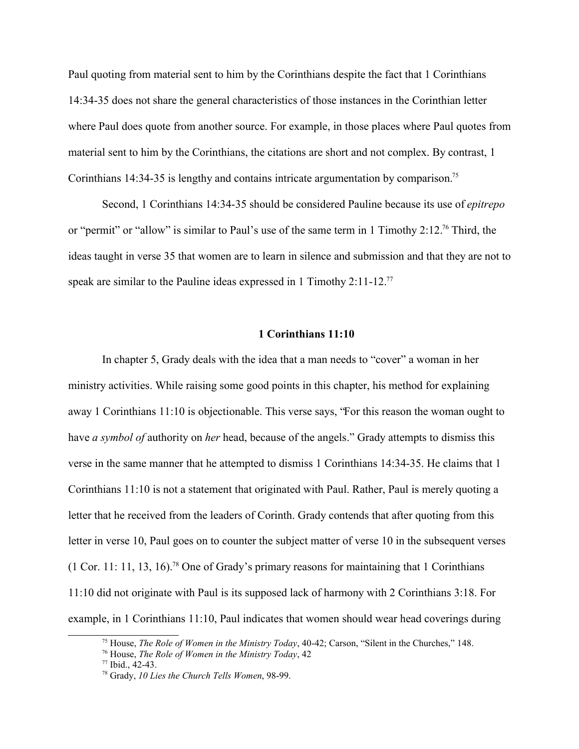Paul quoting from material sent to him by the Corinthians despite the fact that 1 Corinthians 14:34-35 does not share the general characteristics of those instances in the Corinthian letter where Paul does quote from another source. For example, in those places where Paul quotes from material sent to him by the Corinthians, the citations are short and not complex. By contrast, 1 Corinthians 14:34-35 is lengthy and contains intricate argumentation by comparison.<sup>75</sup>

Second, 1 Corinthians 14:34-35 should be considered Pauline because its use of *epitrepo* or "permit" or "allow" is similar to Paul's use of the same term in 1 Timothy 2:12.<sup>76</sup> Third, the ideas taught in verse 35 that women are to learn in silence and submission and that they are not to speak are similar to the Pauline ideas expressed in 1 Timothy 2:11-12.<sup>77</sup>

# **1 Corinthians 11:10**

In chapter 5, Grady deals with the idea that a man needs to "cover" a woman in her ministry activities. While raising some good points in this chapter, his method for explaining away 1 Corinthians 11:10 is objectionable. This verse says, "For this reason the woman ought to have *a symbol of* authority on *her* head, because of the angels." Grady attempts to dismiss this verse in the same manner that he attempted to dismiss 1 Corinthians 14:34-35. He claims that 1 Corinthians 11:10 is not a statement that originated with Paul. Rather, Paul is merely quoting a letter that he received from the leaders of Corinth. Grady contends that after quoting from this letter in verse 10, Paul goes on to counter the subject matter of verse 10 in the subsequent verses  $(1 \text{ Cor. } 11: 11, 13, 16).$ <sup>78</sup> One of Grady's primary reasons for maintaining that 1 Corinthians 11:10 did not originate with Paul is its supposed lack of harmony with 2 Corinthians 3:18. For example, in 1 Corinthians 11:10, Paul indicates that women should wear head coverings during

<sup>75</sup> House, *The Role of Women in the Ministry Today*, 40-42; Carson, "Silent in the Churches," 148.

<sup>76</sup> House, *The Role of Women in the Ministry Today*, 42

<sup>77</sup> Ibid., 42-43.

<sup>78</sup> Grady, *10 Lies the Church Tells Women*, 98-99.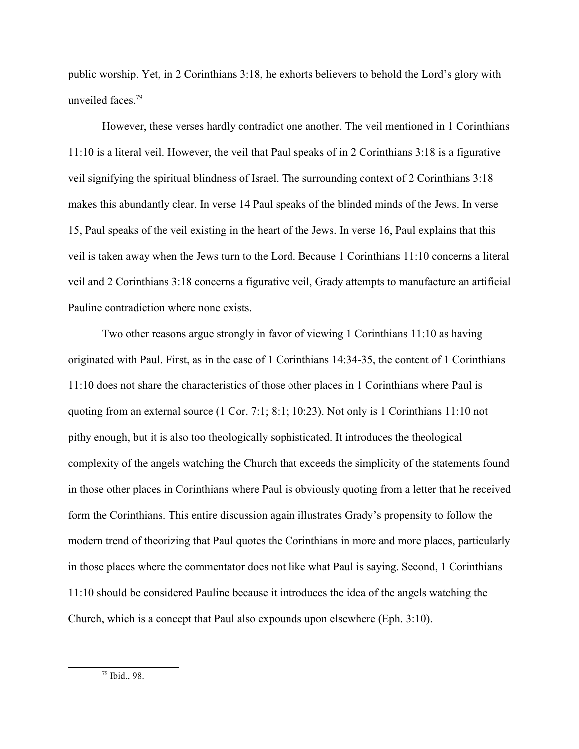public worship. Yet, in 2 Corinthians 3:18, he exhorts believers to behold the Lord's glory with unveiled faces  $79$ 

However, these verses hardly contradict one another. The veil mentioned in 1 Corinthians 11:10 is a literal veil. However, the veil that Paul speaks of in 2 Corinthians 3:18 is a figurative veil signifying the spiritual blindness of Israel. The surrounding context of 2 Corinthians 3:18 makes this abundantly clear. In verse 14 Paul speaks of the blinded minds of the Jews. In verse 15, Paul speaks of the veil existing in the heart of the Jews. In verse 16, Paul explains that this veil is taken away when the Jews turn to the Lord. Because 1 Corinthians 11:10 concerns a literal veil and 2 Corinthians 3:18 concerns a figurative veil, Grady attempts to manufacture an artificial Pauline contradiction where none exists.

Two other reasons argue strongly in favor of viewing 1 Corinthians 11:10 as having originated with Paul. First, as in the case of 1 Corinthians 14:34-35, the content of 1 Corinthians 11:10 does not share the characteristics of those other places in 1 Corinthians where Paul is quoting from an external source (1 Cor. 7:1; 8:1; 10:23). Not only is 1 Corinthians 11:10 not pithy enough, but it is also too theologically sophisticated. It introduces the theological complexity of the angels watching the Church that exceeds the simplicity of the statements found in those other places in Corinthians where Paul is obviously quoting from a letter that he received form the Corinthians. This entire discussion again illustrates Grady's propensity to follow the modern trend of theorizing that Paul quotes the Corinthians in more and more places, particularly in those places where the commentator does not like what Paul is saying. Second, 1 Corinthians 11:10 should be considered Pauline because it introduces the idea of the angels watching the Church, which is a concept that Paul also expounds upon elsewhere (Eph. 3:10).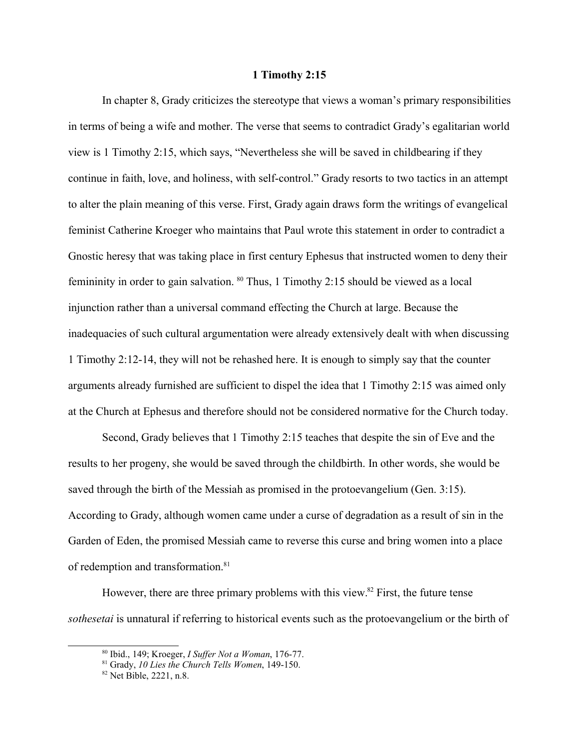## **1 Timothy 2:15**

In chapter 8, Grady criticizes the stereotype that views a woman's primary responsibilities in terms of being a wife and mother. The verse that seems to contradict Grady's egalitarian world view is 1 Timothy 2:15, which says, "Nevertheless she will be saved in childbearing if they continue in faith, love, and holiness, with self-control." Grady resorts to two tactics in an attempt to alter the plain meaning of this verse. First, Grady again draws form the writings of evangelical feminist Catherine Kroeger who maintains that Paul wrote this statement in order to contradict a Gnostic heresy that was taking place in first century Ephesus that instructed women to deny their femininity in order to gain salvation. <sup>80</sup> Thus, 1 Timothy 2:15 should be viewed as a local injunction rather than a universal command effecting the Church at large. Because the inadequacies of such cultural argumentation were already extensively dealt with when discussing 1 Timothy 2:12-14, they will not be rehashed here. It is enough to simply say that the counter arguments already furnished are sufficient to dispel the idea that 1 Timothy 2:15 was aimed only at the Church at Ephesus and therefore should not be considered normative for the Church today.

Second, Grady believes that 1 Timothy 2:15 teaches that despite the sin of Eve and the results to her progeny, she would be saved through the childbirth. In other words, she would be saved through the birth of the Messiah as promised in the protoevangelium (Gen. 3:15). According to Grady, although women came under a curse of degradation as a result of sin in the Garden of Eden, the promised Messiah came to reverse this curse and bring women into a place of redemption and transformation.<sup>81</sup>

However, there are three primary problems with this view.<sup>82</sup> First, the future tense *sothesetai* is unnatural if referring to historical events such as the protoevangelium or the birth of

<sup>80</sup> Ibid., 149; Kroeger, *I Suffer Not a Woman*, 176-77.

<sup>81</sup> Grady, *10 Lies the Church Tells Women*, 149-150.

<sup>82</sup> Net Bible, 2221, n.8.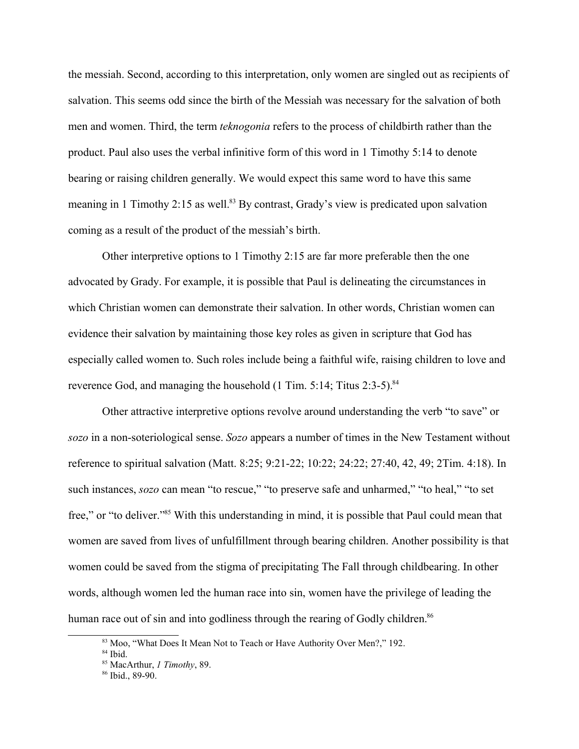the messiah. Second, according to this interpretation, only women are singled out as recipients of salvation. This seems odd since the birth of the Messiah was necessary for the salvation of both men and women. Third, the term *teknogonia* refers to the process of childbirth rather than the product. Paul also uses the verbal infinitive form of this word in 1 Timothy 5:14 to denote bearing or raising children generally. We would expect this same word to have this same meaning in 1 Timothy 2:15 as well.<sup>83</sup> By contrast, Grady's view is predicated upon salvation coming as a result of the product of the messiah's birth.

Other interpretive options to 1 Timothy 2:15 are far more preferable then the one advocated by Grady. For example, it is possible that Paul is delineating the circumstances in which Christian women can demonstrate their salvation. In other words, Christian women can evidence their salvation by maintaining those key roles as given in scripture that God has especially called women to. Such roles include being a faithful wife, raising children to love and reverence God, and managing the household  $(1 \text{ Tim. } 5:14; \text{ Titus } 2:3-5)$ .<sup>84</sup>

Other attractive interpretive options revolve around understanding the verb "to save" or *sozo* in a non-soteriological sense. *Sozo* appears a number of times in the New Testament without reference to spiritual salvation (Matt. 8:25; 9:21-22; 10:22; 24:22; 27:40, 42, 49; 2Tim. 4:18). In such instances, *sozo* can mean "to rescue," "to preserve safe and unharmed," "to heal," "to set free," or "to deliver."<sup>85</sup> With this understanding in mind, it is possible that Paul could mean that women are saved from lives of unfulfillment through bearing children. Another possibility is that women could be saved from the stigma of precipitating The Fall through childbearing. In other words, although women led the human race into sin, women have the privilege of leading the human race out of sin and into godliness through the rearing of Godly children.<sup>86</sup>

<sup>&</sup>lt;sup>83</sup> Moo, "What Does It Mean Not to Teach or Have Authority Over Men?," 192.

<sup>84</sup> Ibid.

<sup>85</sup> MacArthur, *1 Timothy*, 89.

<sup>86</sup> Ibid., 89-90.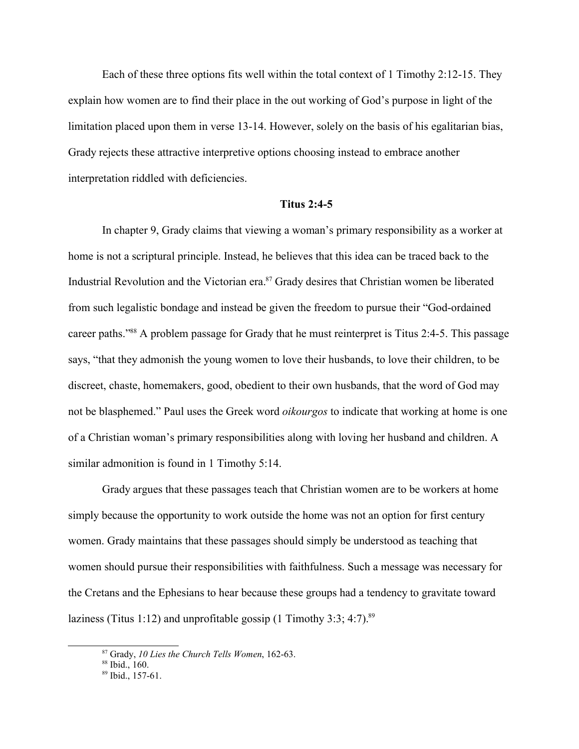Each of these three options fits well within the total context of 1 Timothy 2:12-15. They explain how women are to find their place in the out working of God's purpose in light of the limitation placed upon them in verse 13-14. However, solely on the basis of his egalitarian bias, Grady rejects these attractive interpretive options choosing instead to embrace another interpretation riddled with deficiencies.

# **Titus 2:4-5**

In chapter 9, Grady claims that viewing a woman's primary responsibility as a worker at home is not a scriptural principle. Instead, he believes that this idea can be traced back to the Industrial Revolution and the Victorian era.<sup>87</sup> Grady desires that Christian women be liberated from such legalistic bondage and instead be given the freedom to pursue their "God-ordained career paths."<sup>88</sup> A problem passage for Grady that he must reinterpret is Titus 2:4-5. This passage says, "that they admonish the young women to love their husbands, to love their children, to be discreet, chaste, homemakers, good, obedient to their own husbands, that the word of God may not be blasphemed." Paul uses the Greek word *oikourgos* to indicate that working at home is one of a Christian woman's primary responsibilities along with loving her husband and children. A similar admonition is found in 1 Timothy 5:14.

Grady argues that these passages teach that Christian women are to be workers at home simply because the opportunity to work outside the home was not an option for first century women. Grady maintains that these passages should simply be understood as teaching that women should pursue their responsibilities with faithfulness. Such a message was necessary for the Cretans and the Ephesians to hear because these groups had a tendency to gravitate toward laziness (Titus 1:12) and unprofitable gossip (1 Timothy 3:3; 4:7).<sup>89</sup>

<sup>87</sup> Grady, *10 Lies the Church Tells Women*, 162-63.

<sup>88</sup> Ibid., 160.

 $89$  Ibid., 157-61.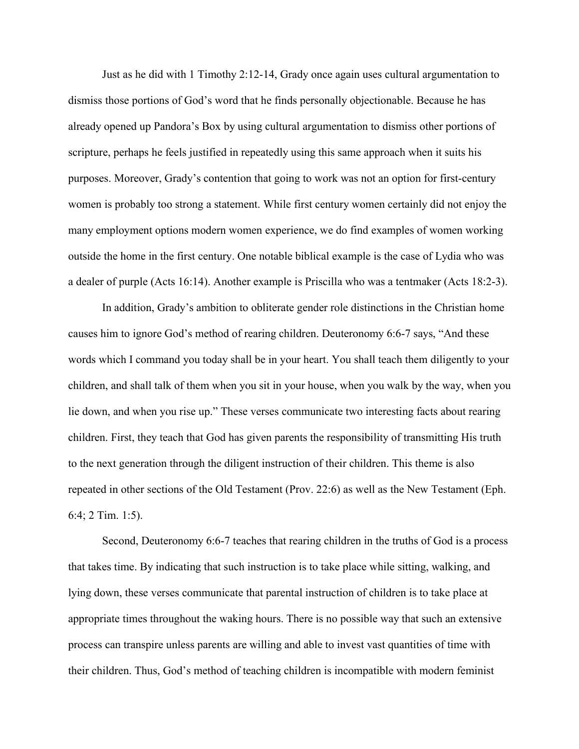Just as he did with 1 Timothy 2:12-14, Grady once again uses cultural argumentation to dismiss those portions of God's word that he finds personally objectionable. Because he has already opened up Pandora's Box by using cultural argumentation to dismiss other portions of scripture, perhaps he feels justified in repeatedly using this same approach when it suits his purposes. Moreover, Grady's contention that going to work was not an option for first-century women is probably too strong a statement. While first century women certainly did not enjoy the many employment options modern women experience, we do find examples of women working outside the home in the first century. One notable biblical example is the case of Lydia who was a dealer of purple (Acts 16:14). Another example is Priscilla who was a tentmaker (Acts 18:2-3).

In addition, Grady's ambition to obliterate gender role distinctions in the Christian home causes him to ignore God's method of rearing children. Deuteronomy 6:6-7 says, "And these words which I command you today shall be in your heart. You shall teach them diligently to your children, and shall talk of them when you sit in your house, when you walk by the way, when you lie down, and when you rise up." These verses communicate two interesting facts about rearing children. First, they teach that God has given parents the responsibility of transmitting His truth to the next generation through the diligent instruction of their children. This theme is also repeated in other sections of the Old Testament (Prov. 22:6) as well as the New Testament (Eph. 6:4; 2 Tim. 1:5).

Second, Deuteronomy 6:6-7 teaches that rearing children in the truths of God is a process that takes time. By indicating that such instruction is to take place while sitting, walking, and lying down, these verses communicate that parental instruction of children is to take place at appropriate times throughout the waking hours. There is no possible way that such an extensive process can transpire unless parents are willing and able to invest vast quantities of time with their children. Thus, God's method of teaching children is incompatible with modern feminist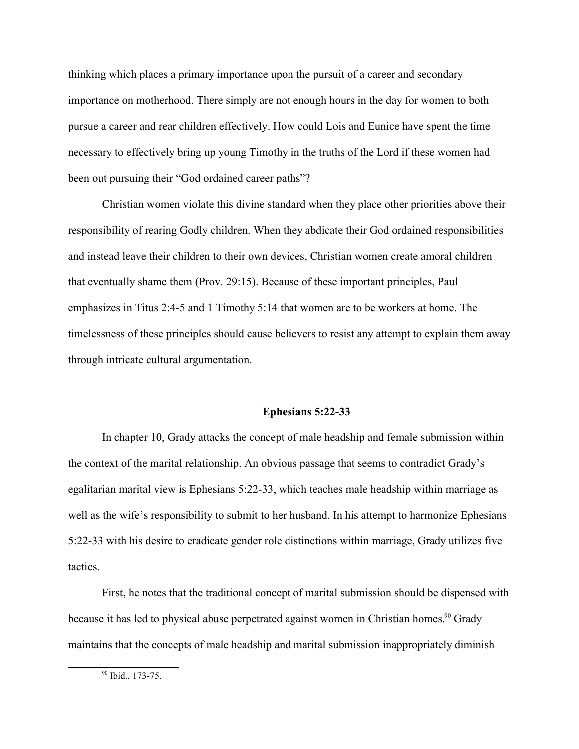thinking which places a primary importance upon the pursuit of a career and secondary importance on motherhood. There simply are not enough hours in the day for women to both pursue a career and rear children effectively. How could Lois and Eunice have spent the time necessary to effectively bring up young Timothy in the truths of the Lord if these women had been out pursuing their "God ordained career paths"?

Christian women violate this divine standard when they place other priorities above their responsibility of rearing Godly children. When they abdicate their God ordained responsibilities and instead leave their children to their own devices, Christian women create amoral children that eventually shame them (Prov. 29:15). Because of these important principles, Paul emphasizes in Titus 2:4-5 and 1 Timothy 5:14 that women are to be workers at home. The timelessness of these principles should cause believers to resist any attempt to explain them away through intricate cultural argumentation.

## **Ephesians 5:22-33**

In chapter 10, Grady attacks the concept of male headship and female submission within the context of the marital relationship. An obvious passage that seems to contradict Grady's egalitarian marital view is Ephesians 5:22-33, which teaches male headship within marriage as well as the wife's responsibility to submit to her husband. In his attempt to harmonize Ephesians 5:22-33 with his desire to eradicate gender role distinctions within marriage, Grady utilizes five tactics.

First, he notes that the traditional concept of marital submission should be dispensed with because it has led to physical abuse perpetrated against women in Christian homes.<sup>90</sup> Grady maintains that the concepts of male headship and marital submission inappropriately diminish

<sup>90</sup> Ibid., 173-75.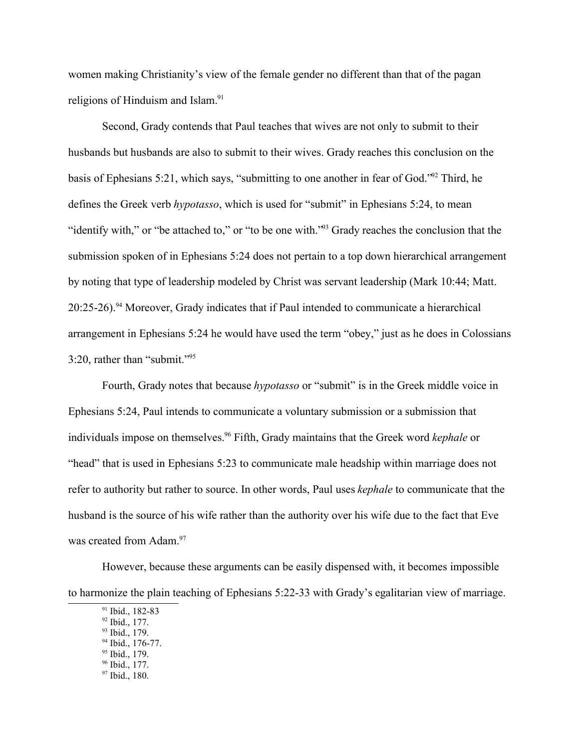women making Christianity's view of the female gender no different than that of the pagan religions of Hinduism and Islam.<sup>91</sup>

Second, Grady contends that Paul teaches that wives are not only to submit to their husbands but husbands are also to submit to their wives. Grady reaches this conclusion on the basis of Ephesians 5:21, which says, "submitting to one another in fear of God."<sup>92</sup> Third, he defines the Greek verb *hypotasso*, which is used for "submit" in Ephesians 5:24, to mean "identify with," or "be attached to," or "to be one with."<sup>93</sup> Grady reaches the conclusion that the submission spoken of in Ephesians 5:24 does not pertain to a top down hierarchical arrangement by noting that type of leadership modeled by Christ was servant leadership (Mark 10:44; Matt.  $20:25-26$ . <sup>94</sup> Moreover, Grady indicates that if Paul intended to communicate a hierarchical arrangement in Ephesians 5:24 he would have used the term "obey," just as he does in Colossians 3:20, rather than "submit."<sup>95</sup>

Fourth, Grady notes that because *hypotasso* or "submit" is in the Greek middle voice in Ephesians 5:24, Paul intends to communicate a voluntary submission or a submission that individuals impose on themselves.<sup>96</sup> Fifth, Grady maintains that the Greek word *kephale* or "head" that is used in Ephesians 5:23 to communicate male headship within marriage does not refer to authority but rather to source. In other words, Paul uses *kephale* to communicate that the husband is the source of his wife rather than the authority over his wife due to the fact that Eve was created from Adam.<sup>97</sup>

However, because these arguments can be easily dispensed with, it becomes impossible to harmonize the plain teaching of Ephesians 5:22-33 with Grady's egalitarian view of marriage.

- <sup>95</sup> Ibid., 179.
- <sup>96</sup> Ibid., 177.

<sup>91</sup> Ibid., 182-83

<sup>92</sup> Ibid., 177.

<sup>93</sup> Ibid., 179.

<sup>94</sup> Ibid., 176-77.

<sup>97</sup> Ibid., 180.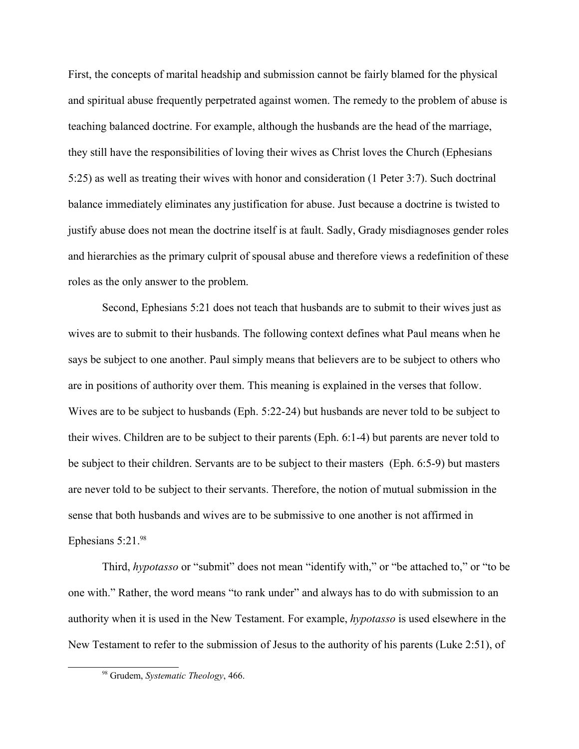First, the concepts of marital headship and submission cannot be fairly blamed for the physical and spiritual abuse frequently perpetrated against women. The remedy to the problem of abuse is teaching balanced doctrine. For example, although the husbands are the head of the marriage, they still have the responsibilities of loving their wives as Christ loves the Church (Ephesians 5:25) as well as treating their wives with honor and consideration (1 Peter 3:7). Such doctrinal balance immediately eliminates any justification for abuse. Just because a doctrine is twisted to justify abuse does not mean the doctrine itself is at fault. Sadly, Grady misdiagnoses gender roles and hierarchies as the primary culprit of spousal abuse and therefore views a redefinition of these roles as the only answer to the problem.

Second, Ephesians 5:21 does not teach that husbands are to submit to their wives just as wives are to submit to their husbands. The following context defines what Paul means when he says be subject to one another. Paul simply means that believers are to be subject to others who are in positions of authority over them. This meaning is explained in the verses that follow. Wives are to be subject to husbands (Eph. 5:22-24) but husbands are never told to be subject to their wives. Children are to be subject to their parents (Eph. 6:1-4) but parents are never told to be subject to their children. Servants are to be subject to their masters (Eph. 6:5-9) but masters are never told to be subject to their servants. Therefore, the notion of mutual submission in the sense that both husbands and wives are to be submissive to one another is not affirmed in Ephesians  $5:21.^{98}$ 

Third, *hypotasso* or "submit" does not mean "identify with," or "be attached to," or "to be one with." Rather, the word means "to rank under" and always has to do with submission to an authority when it is used in the New Testament. For example, *hypotasso* is used elsewhere in the New Testament to refer to the submission of Jesus to the authority of his parents (Luke 2:51), of

<sup>98</sup> Grudem, *Systematic Theology*, 466.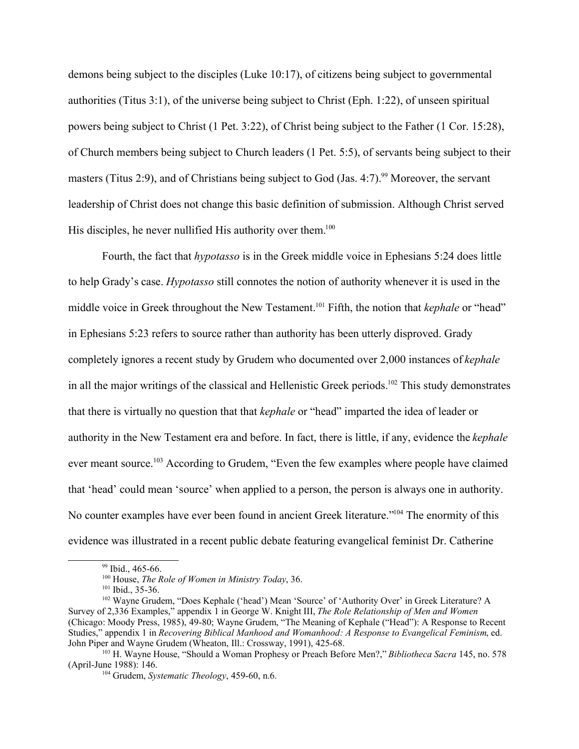demons being subject to the disciples (Luke 10:17), of citizens being subject to governmental authorities (Titus 3:1), of the universe being subject to Christ (Eph. 1:22), of unseen spiritual powers being subject to Christ (1 Pet. 3:22), of Christ being subject to the Father (1 Cor. 15:28), of Church members being subject to Church leaders (1 Pet. 5:5), of servants being subject to their masters (Titus 2:9), and of Christians being subject to God (Jas. 4:7).<sup>99</sup> Moreover, the servant leadership of Christ does not change this basic definition of submission. Although Christ served His disciples, he never nullified His authority over them.<sup>100</sup>

Fourth, the fact that *hypotasso* is in the Greek middle voice in Ephesians 5:24 does little to help Grady's case. *Hypotasso* still connotes the notion of authority whenever it is used in the middle voice in Greek throughout the New Testament.<sup>101</sup> Fifth, the notion that *kephale* or "head" in Ephesians 5:23 refers to source rather than authority has been utterly disproved. Grady completely ignores a recent study by Grudem who documented over 2,000 instances of *kephale* in all the major writings of the classical and Hellenistic Greek periods.<sup>102</sup> This study demonstrates that there is virtually no question that that *kephale* or "head" imparted the idea of leader or authority in the New Testament era and before. In fact, there is little, if any, evidence the *kephale* ever meant source.<sup>103</sup> According to Grudem, "Even the few examples where people have claimed that 'head' could mean 'source' when applied to a person, the person is always one in authority. No counter examples have ever been found in ancient Greek literature."<sup>104</sup> The enormity of this evidence was illustrated in a recent public debate featuring evangelical feminist Dr. Catherine

<sup>&</sup>lt;sup>99</sup> Ibid., 465-66.

<sup>100</sup> House, *The Role of Women in Ministry Today*, 36.

<sup>&</sup>lt;sup>101</sup> Ibid., 35-36.

<sup>102</sup> Wayne Grudem, "Does Kephale ('head') Mean 'Source' of 'Authority Over' in Greek Literature? A Survey of 2,336 Examples," appendix 1 in George W. Knight III, *The Role Relationship of Men and Women* (Chicago: Moody Press, 1985), 49-80; Wayne Grudem, "The Meaning of Kephale ("Head"): A Response to Recent Studies," appendix 1 in *Recovering Biblical Manhood and Womanhood: A Response to Evangelical Feminism*, ed. John Piper and Wayne Grudem (Wheaton, Ill.: Crossway, 1991), 425-68.

<sup>103</sup> H. Wayne House, "Should a Woman Prophesy or Preach Before Men?," *Bibliotheca Sacra* 145, no. 578 (April-June 1988): 146.

<sup>104</sup> Grudem, *Systematic Theology*, 459-60, n.6.